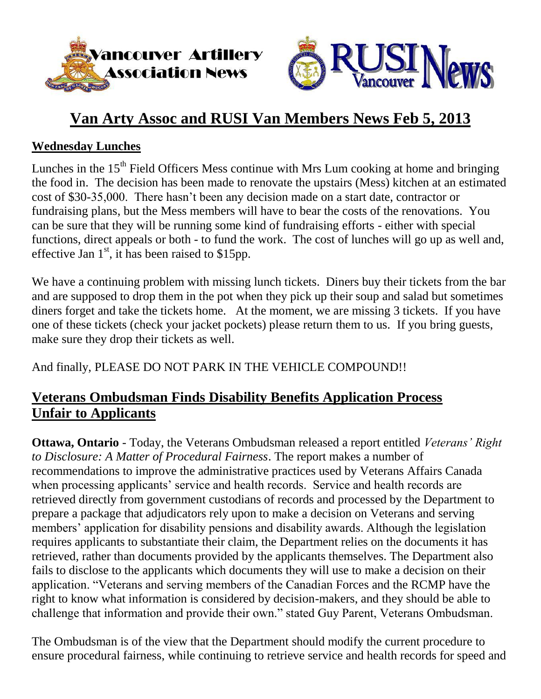



# **Van Arty Assoc and RUSI Van Members News Feb 5, 2013**

#### **Wednesday Lunches**

Lunches in the 15<sup>th</sup> Field Officers Mess continue with Mrs Lum cooking at home and bringing the food in. The decision has been made to renovate the upstairs (Mess) kitchen at an estimated cost of \$30-35,000. There hasn't been any decision made on a start date, contractor or fundraising plans, but the Mess members will have to bear the costs of the renovations. You can be sure that they will be running some kind of fundraising efforts - either with special functions, direct appeals or both - to fund the work. The cost of lunches will go up as well and, effective Jan  $1<sup>st</sup>$ , it has been raised to \$15pp.

We have a continuing problem with missing lunch tickets. Diners buy their tickets from the bar and are supposed to drop them in the pot when they pick up their soup and salad but sometimes diners forget and take the tickets home. At the moment, we are missing 3 tickets. If you have one of these tickets (check your jacket pockets) please return them to us. If you bring guests, make sure they drop their tickets as well.

And finally, PLEASE DO NOT PARK IN THE VEHICLE COMPOUND!!

### **Veterans Ombudsman Finds Disability Benefits Application Process Unfair to Applicants**

**Ottawa, Ontario** - Today, the Veterans Ombudsman released a report entitled *Veterans' Right to Disclosure: A Matter of Procedural Fairness*. The report makes a number of recommendations to improve the administrative practices used by Veterans Affairs Canada when processing applicants' service and health records. Service and health records are retrieved directly from government custodians of records and processed by the Department to prepare a package that adjudicators rely upon to make a decision on Veterans and serving members' application for disability pensions and disability awards. Although the legislation requires applicants to substantiate their claim, the Department relies on the documents it has retrieved, rather than documents provided by the applicants themselves. The Department also fails to disclose to the applicants which documents they will use to make a decision on their application. "Veterans and serving members of the Canadian Forces and the RCMP have the right to know what information is considered by decision-makers, and they should be able to challenge that information and provide their own." stated Guy Parent, Veterans Ombudsman.

The Ombudsman is of the view that the Department should modify the current procedure to ensure procedural fairness, while continuing to retrieve service and health records for speed and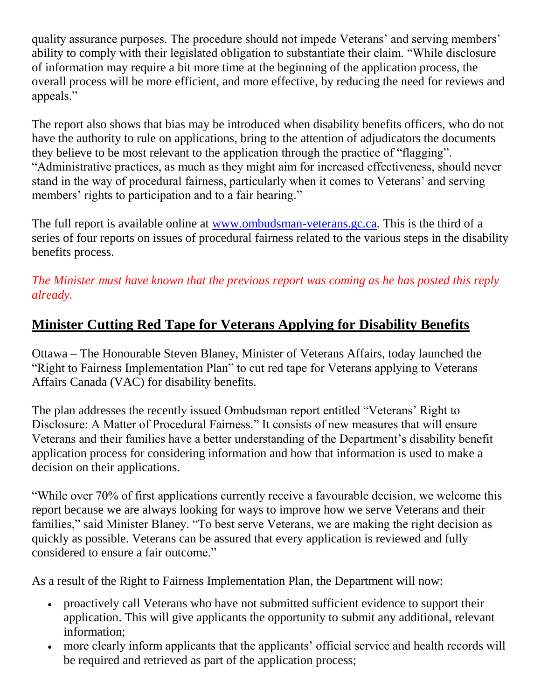quality assurance purposes. The procedure should not impede Veterans' and serving members' ability to comply with their legislated obligation to substantiate their claim. "While disclosure of information may require a bit more time at the beginning of the application process, the overall process will be more efficient, and more effective, by reducing the need for reviews and appeals."

The report also shows that bias may be introduced when disability benefits officers, who do not have the authority to rule on applications, bring to the attention of adjudicators the documents they believe to be most relevant to the application through the practice of "flagging". "Administrative practices, as much as they might aim for increased effectiveness, should never stand in the way of procedural fairness, particularly when it comes to Veterans' and serving members' rights to participation and to a fair hearing."

The full report is available online at [www.ombudsman-veterans.gc.ca.](http://www.ombudsman-veterans.gc.ca/) This is the third of a series of four reports on issues of procedural fairness related to the various steps in the disability benefits process.

*The Minister must have known that the previous report was coming as he has posted this reply already.*

## **Minister Cutting Red Tape for Veterans Applying for Disability Benefits**

Ottawa – The Honourable Steven Blaney, Minister of Veterans Affairs, today launched the "Right to Fairness Implementation Plan" to cut red tape for Veterans applying to Veterans Affairs Canada (VAC) for disability benefits.

The plan addresses the recently issued Ombudsman report entitled "Veterans' Right to Disclosure: A Matter of Procedural Fairness." It consists of new measures that will ensure Veterans and their families have a better understanding of the Department's disability benefit application process for considering information and how that information is used to make a decision on their applications.

"While over 70% of first applications currently receive a favourable decision, we welcome this report because we are always looking for ways to improve how we serve Veterans and their families," said Minister Blaney. "To best serve Veterans, we are making the right decision as quickly as possible. Veterans can be assured that every application is reviewed and fully considered to ensure a fair outcome."

As a result of the Right to Fairness Implementation Plan, the Department will now:

- proactively call Veterans who have not submitted sufficient evidence to support their application. This will give applicants the opportunity to submit any additional, relevant information;
- more clearly inform applicants that the applicants' official service and health records will be required and retrieved as part of the application process;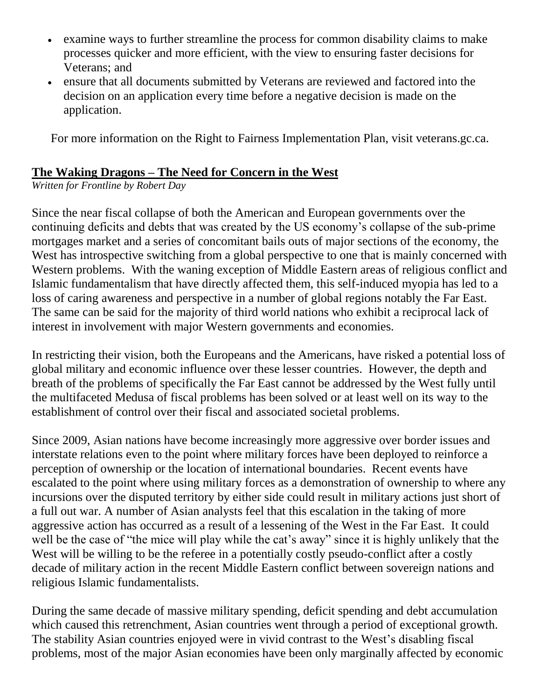- examine ways to further streamline the process for common disability claims to make processes quicker and more efficient, with the view to ensuring faster decisions for Veterans; and
- ensure that all documents submitted by Veterans are reviewed and factored into the decision on an application every time before a negative decision is made on the application.

For more information on the Right to Fairness Implementation Plan, visit veterans.gc.ca.

#### **The Waking Dragons – The Need for Concern in the West**

*Written for Frontline by Robert Day*

Since the near fiscal collapse of both the American and European governments over the continuing deficits and debts that was created by the US economy's collapse of the sub-prime mortgages market and a series of concomitant bails outs of major sections of the economy, the West has introspective switching from a global perspective to one that is mainly concerned with Western problems. With the waning exception of Middle Eastern areas of religious conflict and Islamic fundamentalism that have directly affected them, this self-induced myopia has led to a loss of caring awareness and perspective in a number of global regions notably the Far East. The same can be said for the majority of third world nations who exhibit a reciprocal lack of interest in involvement with major Western governments and economies.

In restricting their vision, both the Europeans and the Americans, have risked a potential loss of global military and economic influence over these lesser countries. However, the depth and breath of the problems of specifically the Far East cannot be addressed by the West fully until the multifaceted Medusa of fiscal problems has been solved or at least well on its way to the establishment of control over their fiscal and associated societal problems.

Since 2009, Asian nations have become increasingly more aggressive over border issues and interstate relations even to the point where military forces have been deployed to reinforce a perception of ownership or the location of international boundaries. Recent events have escalated to the point where using military forces as a demonstration of ownership to where any incursions over the disputed territory by either side could result in military actions just short of a full out war. A number of Asian analysts feel that this escalation in the taking of more aggressive action has occurred as a result of a lessening of the West in the Far East. It could well be the case of "the mice will play while the cat's away" since it is highly unlikely that the West will be willing to be the referee in a potentially costly pseudo-conflict after a costly decade of military action in the recent Middle Eastern conflict between sovereign nations and religious Islamic fundamentalists.

During the same decade of massive military spending, deficit spending and debt accumulation which caused this retrenchment, Asian countries went through a period of exceptional growth. The stability Asian countries enjoyed were in vivid contrast to the West's disabling fiscal problems, most of the major Asian economies have been only marginally affected by economic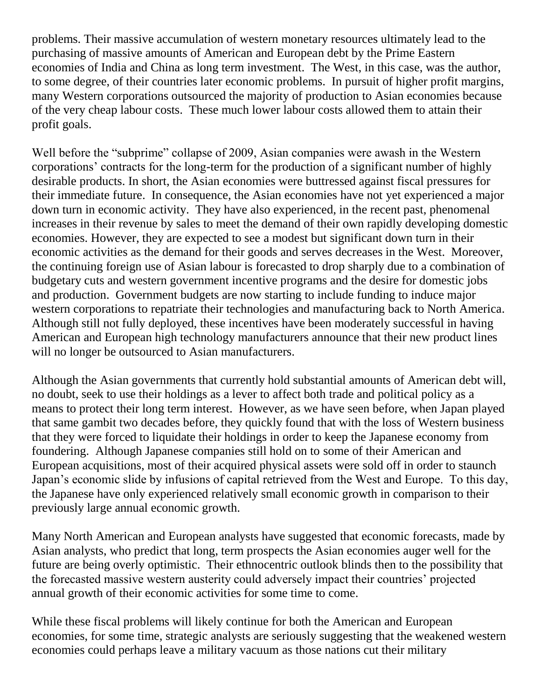problems. Their massive accumulation of western monetary resources ultimately lead to the purchasing of massive amounts of American and European debt by the Prime Eastern economies of India and China as long term investment. The West, in this case, was the author, to some degree, of their countries later economic problems. In pursuit of higher profit margins, many Western corporations outsourced the majority of production to Asian economies because of the very cheap labour costs. These much lower labour costs allowed them to attain their profit goals.

Well before the "subprime" collapse of 2009, Asian companies were awash in the Western corporations' contracts for the long-term for the production of a significant number of highly desirable products. In short, the Asian economies were buttressed against fiscal pressures for their immediate future. In consequence, the Asian economies have not yet experienced a major down turn in economic activity. They have also experienced, in the recent past, phenomenal increases in their revenue by sales to meet the demand of their own rapidly developing domestic economies. However, they are expected to see a modest but significant down turn in their economic activities as the demand for their goods and serves decreases in the West. Moreover, the continuing foreign use of Asian labour is forecasted to drop sharply due to a combination of budgetary cuts and western government incentive programs and the desire for domestic jobs and production. Government budgets are now starting to include funding to induce major western corporations to repatriate their technologies and manufacturing back to North America. Although still not fully deployed, these incentives have been moderately successful in having American and European high technology manufacturers announce that their new product lines will no longer be outsourced to Asian manufacturers.

Although the Asian governments that currently hold substantial amounts of American debt will, no doubt, seek to use their holdings as a lever to affect both trade and political policy as a means to protect their long term interest. However, as we have seen before, when Japan played that same gambit two decades before, they quickly found that with the loss of Western business that they were forced to liquidate their holdings in order to keep the Japanese economy from foundering. Although Japanese companies still hold on to some of their American and European acquisitions, most of their acquired physical assets were sold off in order to staunch Japan's economic slide by infusions of capital retrieved from the West and Europe. To this day, the Japanese have only experienced relatively small economic growth in comparison to their previously large annual economic growth.

Many North American and European analysts have suggested that economic forecasts, made by Asian analysts, who predict that long, term prospects the Asian economies auger well for the future are being overly optimistic. Their ethnocentric outlook blinds then to the possibility that the forecasted massive western austerity could adversely impact their countries' projected annual growth of their economic activities for some time to come.

While these fiscal problems will likely continue for both the American and European economies, for some time, strategic analysts are seriously suggesting that the weakened western economies could perhaps leave a military vacuum as those nations cut their military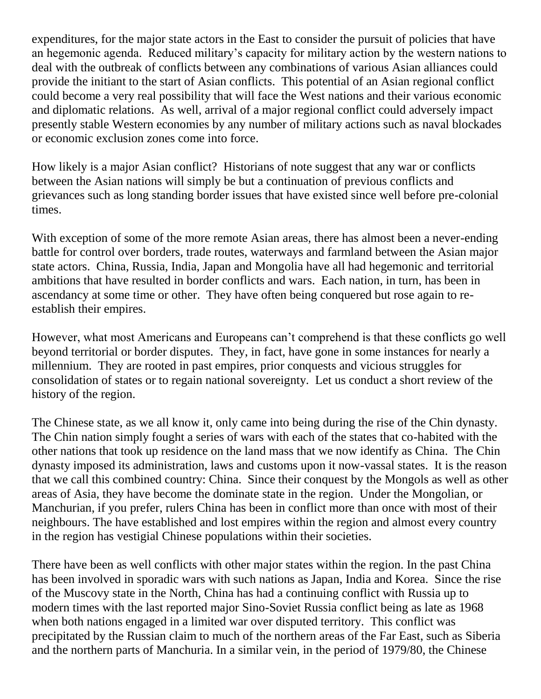expenditures, for the major state actors in the East to consider the pursuit of policies that have an hegemonic agenda. Reduced military's capacity for military action by the western nations to deal with the outbreak of conflicts between any combinations of various Asian alliances could provide the initiant to the start of Asian conflicts. This potential of an Asian regional conflict could become a very real possibility that will face the West nations and their various economic and diplomatic relations. As well, arrival of a major regional conflict could adversely impact presently stable Western economies by any number of military actions such as naval blockades or economic exclusion zones come into force.

How likely is a major Asian conflict? Historians of note suggest that any war or conflicts between the Asian nations will simply be but a continuation of previous conflicts and grievances such as long standing border issues that have existed since well before pre-colonial times.

With exception of some of the more remote Asian areas, there has almost been a never-ending battle for control over borders, trade routes, waterways and farmland between the Asian major state actors. China, Russia, India, Japan and Mongolia have all had hegemonic and territorial ambitions that have resulted in border conflicts and wars. Each nation, in turn, has been in ascendancy at some time or other. They have often being conquered but rose again to reestablish their empires.

However, what most Americans and Europeans can't comprehend is that these conflicts go well beyond territorial or border disputes. They, in fact, have gone in some instances for nearly a millennium. They are rooted in past empires, prior conquests and vicious struggles for consolidation of states or to regain national sovereignty. Let us conduct a short review of the history of the region.

The Chinese state, as we all know it, only came into being during the rise of the Chin dynasty. The Chin nation simply fought a series of wars with each of the states that co-habited with the other nations that took up residence on the land mass that we now identify as China. The Chin dynasty imposed its administration, laws and customs upon it now-vassal states. It is the reason that we call this combined country: China. Since their conquest by the Mongols as well as other areas of Asia, they have become the dominate state in the region. Under the Mongolian, or Manchurian, if you prefer, rulers China has been in conflict more than once with most of their neighbours. The have established and lost empires within the region and almost every country in the region has vestigial Chinese populations within their societies.

There have been as well conflicts with other major states within the region. In the past China has been involved in sporadic wars with such nations as Japan, India and Korea. Since the rise of the Muscovy state in the North, China has had a continuing conflict with Russia up to modern times with the last reported major Sino-Soviet Russia conflict being as late as 1968 when both nations engaged in a limited war over disputed territory. This conflict was precipitated by the Russian claim to much of the northern areas of the Far East, such as Siberia and the northern parts of Manchuria. In a similar vein, in the period of 1979/80, the Chinese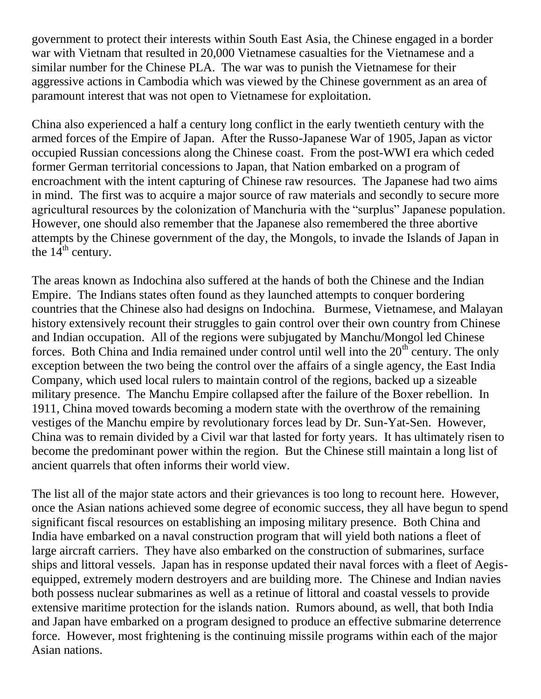government to protect their interests within South East Asia, the Chinese engaged in a border war with Vietnam that resulted in 20,000 Vietnamese casualties for the Vietnamese and a similar number for the Chinese PLA. The war was to punish the Vietnamese for their aggressive actions in Cambodia which was viewed by the Chinese government as an area of paramount interest that was not open to Vietnamese for exploitation.

China also experienced a half a century long conflict in the early twentieth century with the armed forces of the Empire of Japan. After the Russo-Japanese War of 1905, Japan as victor occupied Russian concessions along the Chinese coast. From the post-WWI era which ceded former German territorial concessions to Japan, that Nation embarked on a program of encroachment with the intent capturing of Chinese raw resources. The Japanese had two aims in mind. The first was to acquire a major source of raw materials and secondly to secure more agricultural resources by the colonization of Manchuria with the "surplus" Japanese population. However, one should also remember that the Japanese also remembered the three abortive attempts by the Chinese government of the day, the Mongols, to invade the Islands of Japan in the  $14^{\text{th}}$  century.

The areas known as Indochina also suffered at the hands of both the Chinese and the Indian Empire. The Indians states often found as they launched attempts to conquer bordering countries that the Chinese also had designs on Indochina. Burmese, Vietnamese, and Malayan history extensively recount their struggles to gain control over their own country from Chinese and Indian occupation. All of the regions were subjugated by Manchu/Mongol led Chinese forces. Both China and India remained under control until well into the  $20<sup>th</sup>$  century. The only exception between the two being the control over the affairs of a single agency, the East India Company, which used local rulers to maintain control of the regions, backed up a sizeable military presence. The Manchu Empire collapsed after the failure of the Boxer rebellion. In 1911, China moved towards becoming a modern state with the overthrow of the remaining vestiges of the Manchu empire by revolutionary forces lead by Dr. Sun-Yat-Sen. However, China was to remain divided by a Civil war that lasted for forty years. It has ultimately risen to become the predominant power within the region. But the Chinese still maintain a long list of ancient quarrels that often informs their world view.

The list all of the major state actors and their grievances is too long to recount here. However, once the Asian nations achieved some degree of economic success, they all have begun to spend significant fiscal resources on establishing an imposing military presence. Both China and India have embarked on a naval construction program that will yield both nations a fleet of large aircraft carriers. They have also embarked on the construction of submarines, surface ships and littoral vessels. Japan has in response updated their naval forces with a fleet of Aegisequipped, extremely modern destroyers and are building more. The Chinese and Indian navies both possess nuclear submarines as well as a retinue of littoral and coastal vessels to provide extensive maritime protection for the islands nation. Rumors abound, as well, that both India and Japan have embarked on a program designed to produce an effective submarine deterrence force. However, most frightening is the continuing missile programs within each of the major Asian nations.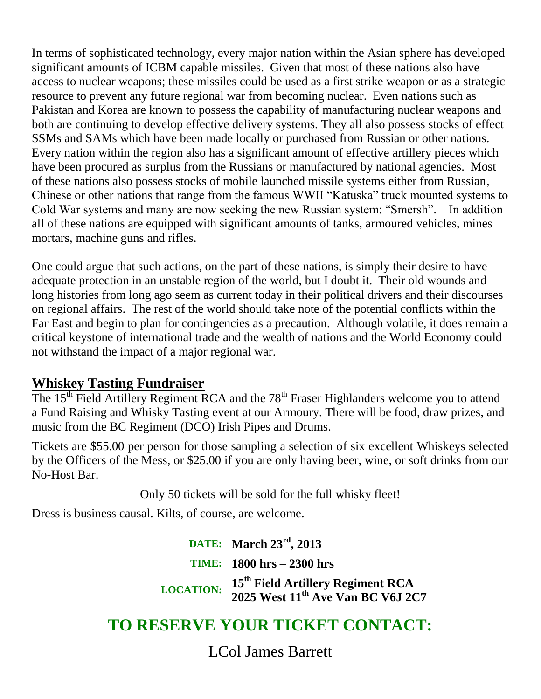In terms of sophisticated technology, every major nation within the Asian sphere has developed significant amounts of ICBM capable missiles. Given that most of these nations also have access to nuclear weapons; these missiles could be used as a first strike weapon or as a strategic resource to prevent any future regional war from becoming nuclear. Even nations such as Pakistan and Korea are known to possess the capability of manufacturing nuclear weapons and both are continuing to develop effective delivery systems. They all also possess stocks of effect SSMs and SAMs which have been made locally or purchased from Russian or other nations. Every nation within the region also has a significant amount of effective artillery pieces which have been procured as surplus from the Russians or manufactured by national agencies. Most of these nations also possess stocks of mobile launched missile systems either from Russian, Chinese or other nations that range from the famous WWII "Katuska" truck mounted systems to Cold War systems and many are now seeking the new Russian system: "Smersh". In addition all of these nations are equipped with significant amounts of tanks, armoured vehicles, mines mortars, machine guns and rifles.

One could argue that such actions, on the part of these nations, is simply their desire to have adequate protection in an unstable region of the world, but I doubt it. Their old wounds and long histories from long ago seem as current today in their political drivers and their discourses on regional affairs. The rest of the world should take note of the potential conflicts within the Far East and begin to plan for contingencies as a precaution. Although volatile, it does remain a critical keystone of international trade and the wealth of nations and the World Economy could not withstand the impact of a major regional war.

#### **Whiskey Tasting Fundraiser**

The 15<sup>th</sup> Field Artillery Regiment RCA and the 78<sup>th</sup> Fraser Highlanders welcome you to attend a Fund Raising and Whisky Tasting event at our Armoury. There will be food, draw prizes, and music from the BC Regiment (DCO) Irish Pipes and Drums.

Tickets are \$55.00 per person for those sampling a selection of six excellent Whiskeys selected by the Officers of the Mess, or \$25.00 if you are only having beer, wine, or soft drinks from our No-Host Bar.

Only 50 tickets will be sold for the full whisky fleet!

Dress is business causal. Kilts, of course, are welcome.

**DATE: March 23rd, 2013 TIME: 1800 hrs – 2300 hrs LOCATION: <sup>15</sup>th Field Artillery Regiment RCA 2025 West 11th Ave Van BC V6J 2C7**

# **TO RESERVE YOUR TICKET CONTACT:**

LCol James Barrett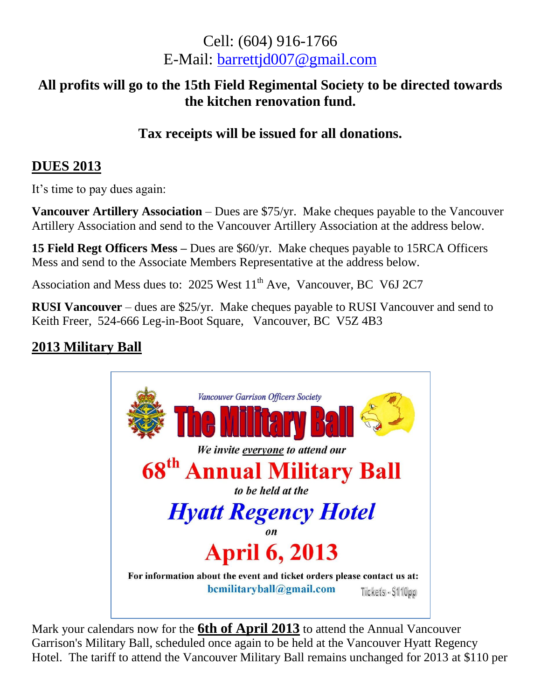# Cell: (604) 916-1766 E-Mail: [barrettjd007@gmail.com](mailto:barrettjd007@gmail.com)

#### **All profits will go to the 15th Field Regimental Society to be directed towards the kitchen renovation fund.**

#### **Tax receipts will be issued for all donations.**

#### **DUES 2013**

It's time to pay dues again:

**Vancouver Artillery Association** – Dues are \$75/yr. Make cheques payable to the Vancouver Artillery Association and send to the Vancouver Artillery Association at the address below.

**15 Field Regt Officers Mess –** Dues are \$60/yr. Make cheques payable to 15RCA Officers Mess and send to the Associate Members Representative at the address below.

Association and Mess dues to: 2025 West 11<sup>th</sup> Ave, Vancouver, BC V6J 2C7

**RUSI Vancouver** – dues are \$25/yr. Make cheques payable to RUSI Vancouver and send to Keith Freer, 524-666 Leg-in-Boot Square, Vancouver, BC V5Z 4B3

### **2013 Military Ball**



Mark your calendars now for the **6th of April 2013** to attend the Annual Vancouver Garrison's Military Ball, scheduled once again to be held at the Vancouver Hyatt Regency Hotel. The tariff to attend the Vancouver Military Ball remains unchanged for 2013 at \$110 per